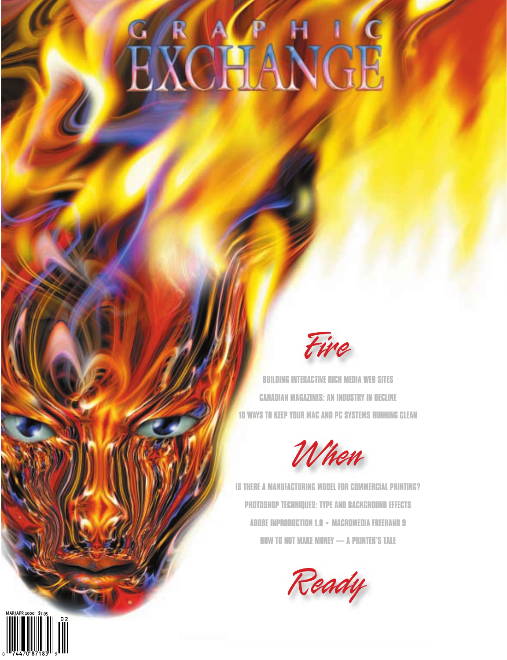# G R ACP H 1 G



**BUILDING INTERACTIVE RICH MEDIA WEB SITES CANADIAN MAGAZINES: AN INDUSTRY IN DECLINE 10 WAYS TO KEEP YOUR MAC AND PC SYSTEMS RUNNING CLEAN**



**IS THERE A MANUFACTURING MODEL FOR COMMERCIAL PRINTING? PHOTOSHOP TECHNIQUES: TYPE AND BACKGROUND EFFECTS ADOBE INPRODUCTION 1.0 • MACROMEDIA FREEHAND 9 HOW TO NOT MAKE MONEY — A PRINTER'S TALE**

Ready

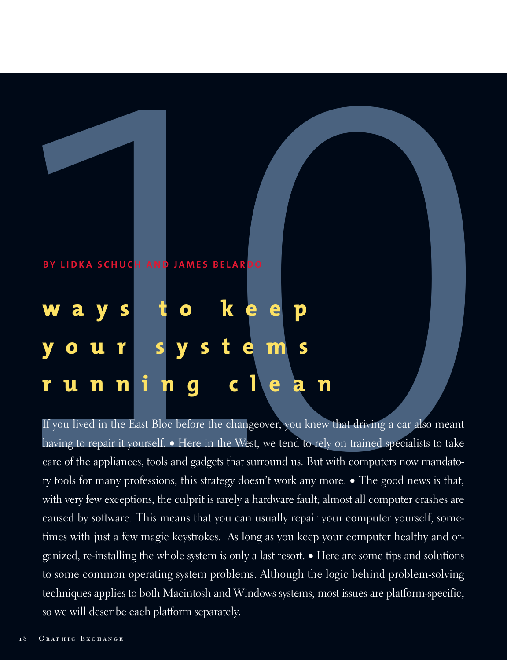# EX LIDKA SCHUCH AND JAMES BELARDO<br> **Waysto Reep**<br> **10UT systems**<br> **10UT n n i n g c l e a n**<br> **1** Fyou lived in the Last Bloc before the changeover, you knew that driving a car also meant **BY LIDKA SCHUCH AND JAMES BELARDO ways to keep your systems running clean**

having to repair it yourself. • Here in the West, we tend to rely on trained specialists to take care of the appliances, tools and gadgets that surround us. But with computers now mandatory tools for many professions, this strategy doesn't work any more. • The good news is that, with very few exceptions, the culprit is rarely a hardware fault; almost all computer crashes are caused by software. This means that you can usually repair your computer yourself, sometimes with just a few magic keystrokes. As long as you keep your computer healthy and organized, re-installing the whole system is only a last resort. • Here are some tips and solutions to some common operating system problems. Although the logic behind problem-solving techniques applies to both Macintosh and Windows systems, most issues are platform-specific, so we will describe each platform separately.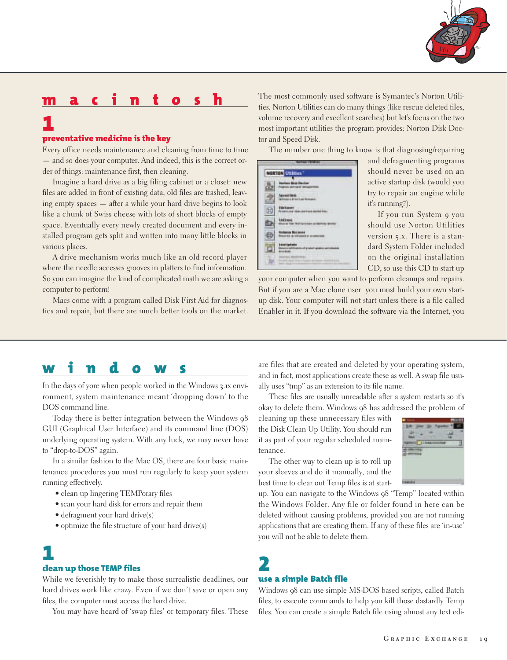

#### **preventative medicine is the key**

**1** 

Every office needs maintenance and cleaning from time to time — and so does your computer. And indeed, this is the correct order of things: maintenance first, then cleaning.

Imagine a hard drive as a big filing cabinet or a closet: new files are added in front of existing data, old files are trashed, leaving empty spaces — after a while your hard drive begins to look like a chunk of Swiss cheese with lots of short blocks of empty space. Eventually every newly created document and every installed program gets split and written into many little blocks in various places.

A drive mechanism works much like an old record player where the needle accesses grooves in platters to find information. So you can imagine the kind of complicated math we are asking a computer to perform!

Macs come with a program called Disk First Aid for diagnostics and repair, but there are much better tools on the market. The most commonly used software is Symantec's Norton Utilities. Norton Utilities can do many things (like rescue deleted files, volume recovery and excellent searches) but let's focus on the two most important utilities the program provides: Norton Disk Doctor and Speed Disk.

The number one thing to know is that diagnosing/repairing



and defragmenting programs should never be used on an active startup disk (would you try to repair an engine while it's running?).

If you run System 9 you should use Norton Utilities version 5.x. There is a standard System Folder included on the original installation CD, so use this CD to start up

your computer when you want to perform cleanups and repairs. But if you are a Mac clone user you must build your own startup disk. Your computer will not start unless there is a file called Enabler in it. If you download the software via the Internet, you

# **windows**

In the days of yore when people worked in the Windows 3.1x environment, system maintenance meant 'dropping down' to the DOS command line.

Today there is better integration between the Windows 98 GUI (Graphical User Interface) and its command line (DOS) underlying operating system. With any luck, we may never have to "drop-to-DOS" again.

In a similar fashion to the Mac OS, there are four basic maintenance procedures you must run regularly to keep your system running effectively.

- clean up lingering TEMPorary files
- scan your hard disk for errors and repair them
- defragment your hard drive(s)
- optimize the file structure of your hard drive(s)

# **1**

#### **clean up those TEMP files**

While we feverishly try to make those surrealistic deadlines, our hard drives work like crazy. Even if we don't save or open any files, the computer must access the hard drive.

You may have heard of 'swap files' or temporary files. These

are files that are created and deleted by your operating system, and in fact, most applications create these as well. A swap file usually uses "tmp" as an extension to its file name.

These files are usually unreadable after a system restarts so it's okay to delete them. Windows 98 has addressed the problem of

cleaning up these unnecessary files with the Disk Clean Up Utility. You should run it as part of your regular scheduled maintenance.

The other way to clean up is to roll up your sleeves and do it manually, and the best time to clear out Temp files is at start-



up. You can navigate to the Windows 98 "Temp" located within the Windows Folder. Any file or folder found in here can be deleted without causing problems, provided you are not running applications that are creating them. If any of these files are 'in-use' you will not be able to delete them.

# **2use a simple Batch file**

Windows 98 can use simple MS-DOS based scripts, called Batch files, to execute commands to help you kill those dastardly Temp files. You can create a simple Batch file using almost any text edi-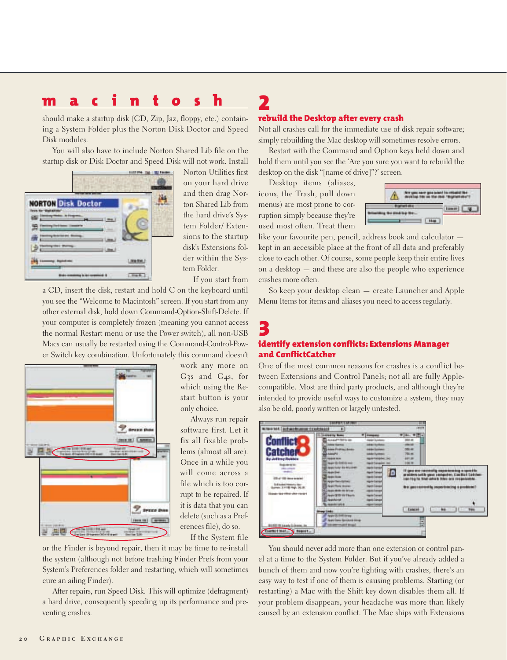should make a startup disk (CD, Zip, Jaz, floppy, etc.) containing a System Folder plus the Norton Disk Doctor and Speed Disk modules.

You will also have to include Norton Shared Lib file on the startup disk or Disk Doctor and Speed Disk will not work. Install



Norton Utilities first on your hard drive and then drag Norton Shared Lib from the hard drive's System Folder/ Extensions to the startup disk's Extensions folder within the System Folder.

If you start from

a CD, insert the disk, restart and hold C on the keyboard until you see the "Welcome to Macintosh" screen. If you start from any other external disk, hold down Command-Option-Shift-Delete. If your computer is completely frozen (meaning you cannot access the normal Restart menu or use the Power switch), all non-USB Macs can usually be restarted using the Command-Control-Power Switch key combination. Unfortunately this command doesn't



work any more on G3s and G4s, for which using the Restart button is your only choice.

Always run repair software first. Let it fix all fixable problems (almost all are). Once in a while you will come across a file which is too corrupt to be repaired. If it is data that you can delete (such as a Preferences file), do so.

If the System file

or the Finder is beyond repair, then it may be time to re-install the system (although not before trashing Finder Prefs from your System's Preferences folder and restarting, which will sometimes cure an ailing Finder).

After repairs, run Speed Disk. This will optimize (defragment) a hard drive, consequently speeding up its performance and preventing crashes.

#### **rebuild the Desktop after every crash**

Not all crashes call for the immediate use of disk repair software; simply rebuilding the Mac desktop will sometimes resolve errors.

Restart with the Command and Option keys held down and hold them until you see the 'Are you sure you want to rebuild the desktop on the disk "[name of drive]"?' screen.

Desktop items (aliases, icons, the Trash, pull down menus) are most prone to corruption simply because they're used most often. Treat them

**2**



like your favourite pen, pencil, address book and calculator kept in an accessible place at the front of all data and preferably close to each other. Of course, some people keep their entire lives on a desktop — and these are also the people who experience crashes more often.

So keep your desktop clean — create Launcher and Apple Menu Items for items and aliases you need to access regularly.

#### **3identify extension conflicts: Extensions Manager and ConflictCatcher**

One of the most common reasons for crashes is a conflict between Extensions and Control Panels; not all are fully Applecompatible. Most are third party products, and although they're intended to provide useful ways to customize a system, they may also be old, poorly written or largely untested.



You should never add more than one extension or control panel at a time to the System Folder. But if you've already added a bunch of them and now you're fighting with crashes, there's an easy way to test if one of them is causing problems. Starting (or restarting) a Mac with the Shift key down disables them all. If your problem disappears, your headache was more than likely caused by an extension conflict. The Mac ships with Extensions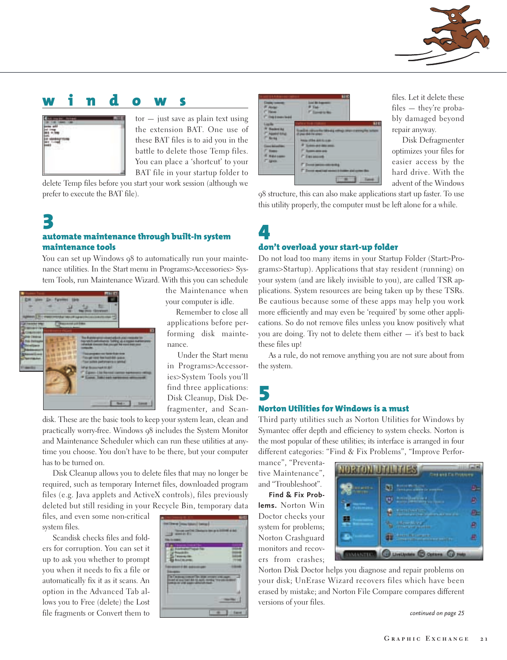

# **windows**



tor — just save as plain text using the extension BAT. One use of these BAT files is to aid you in the battle to delete those Temp files. You can place a 'shortcut' to your BAT file in your startup folder to

delete Temp files before you start your work session (although we prefer to execute the BAT file).

### **3automate maintenance through built-In system maintenance tools**

You can set up Windows 98 to automatically run your maintenance utilities. In the Start menu in Programs>Accessories> System Tools, run Maintenance Wizard. With this you can schedule



the Maintenance when your computer is idle.

Remember to close all applications before performing disk maintenance.

Under the Start menu in Programs>Accessories>System Tools you'll find three applications: Disk Cleanup, Disk Defragmenter, and Scan-

disk. These are the basic tools to keep your system lean, clean and practically worry-free. Windows 98 includes the System Monitor and Maintenance Scheduler which can run these utilities at anytime you choose. You don't have to be there, but your computer has to be turned on.

Disk Cleanup allows you to delete files that may no longer be required, such as temporary Internet files, downloaded program files (e.g. Java applets and ActiveX controls), files previously deleted but still residing in your Recycle Bin, temporary data

files, and even some non-critical system files.

Scandisk checks files and folders for corruption. You can set it up to ask you whether to prompt you when it needs to fix a file or automatically fix it as it scans. An option in the Advanced Tab allows you to Free (delete) the Lost file fragments or Convert them to





files. Let it delete these files — they're probably damaged beyond repair anyway.

Disk Defragmenter optimizes your files for easier access by the hard drive. With the advent of the Windows

98 structure, this can also make applications start up faster. To use this utility properly, the computer must be left alone for a while.

#### **4don't overload your start-up folder**

Do not load too many items in your Startup Folder (Start>Programs>Startup). Applications that stay resident (running) on your system (and are likely invisible to you), are called TSR applications. System resources are being taken up by these TSRs. Be cautious because some of these apps may help you work more efficiently and may even be 'required' by some other applications. So do not remove files unless you know positively what you are doing. Try not to delete them either — it's best to back these files up!

As a rule, do not remove anything you are not sure about from the system.

# **5**

#### **Norton Utilities for Windows is a must**

Third party utilities such as Norton Utilities for Windows by Symantec offer depth and efficiency to system checks. Norton is the most popular of these utilities; its interface is arranged in four different categories: "Find & Fix Problems", "Improve Perfor-

mance", "Preventative Maintenance", and "Troubleshoot".

**Find & Fix Problems.** Norton Win Doctor checks your system for problems; Norton Crashguard monitors and recovers from crashes;

| and grid is. | <b><i>Rotze Williams</i></b><br><b>PALLASHING OF STREET</b> |    |
|--------------|-------------------------------------------------------------|----|
| <b>HELEN</b> | <b>URENTERED</b>                                            |    |
|              | <b>BUSINESS CITY</b><br>calaborate and in the company of    | U. |
|              | <b>Manufacturer</b><br>u<br><b>Control of the programs</b>  | ц  |
|              | <b>Basic and State Committee Inc.</b><br>------             | 鱼  |

Norton Disk Doctor helps you diagnose and repair problems on your disk; UnErase Wizard recovers files which have been erased by mistake; and Norton File Compare compares different versions of your files.

*continued on page 25*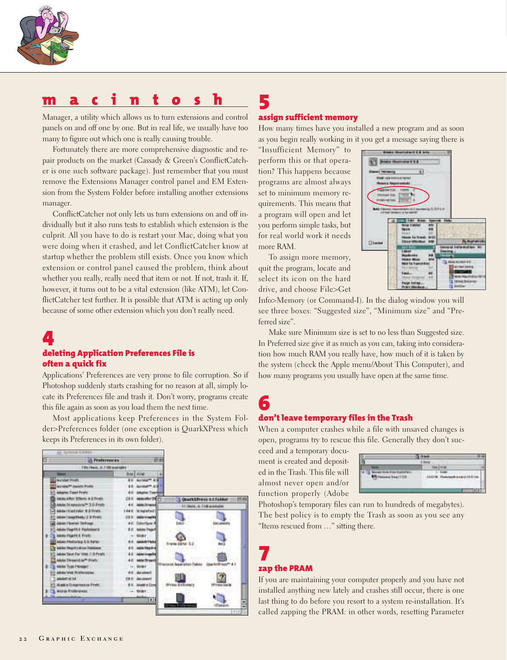

Manager, a utility which allows us to turn extensions and control panels on and off one by one. But in real life, we usually have too many to figure out which one is really causing trouble.

Fortunately there are more comprehensive diagnostic and repair products on the market (Cassady & Green's ConflictCatcher is one such software package). Just remember that you must remove the Extensions Manager control panel and EM Extension from the System Folder before installing another extensions manager.

ConflictCatcher not only lets us turn extensions on and off individually but it also runs tests to establish which extension is the culprit. All you have to do is restart your Mac, doing what you were doing when it crashed, and let ConflictCatcher know at startup whether the problem still exists. Once you know which extension or control panel caused the problem, think about whether you really, really need that item or not. If not, trash it. If, however, it turns out to be a vital extension (like ATM), let ConflictCatcher test further. It is possible that ATM is acting up only because of some other extension which you don't really need.

# **4**

#### **deleting Application Preferences File is often a quick fix**

Applications' Preferences are very prone to file corruption. So if Photoshop suddenly starts crashing for no reason at all, simply locate its Preferences file and trash it. Don't worry, programs create this file again as soon as you load them the next time.

Most applications keep Preferences in the System Folder>Preferences folder (one exception is QuarkXPress which keeps its Preferences in its own folder).



# **5**

#### **assign sufficient memory**

How many times have you installed a new program and as soon as you begin really working in it you get a message saying there is

"Insufficient Memory" to perform this or that operation? This happens because programs are almost always set to minimum memory requirements. This means that a program will open and let you perform simple tasks, but for real world work it needs more RAM.

To assign more memory, quit the program, locate and select its icon on the hard drive, and choose File>Get



Info>Memory (or Command-I). In the dialog window you will see three boxes: "Suggested size", "Minimum size" and "Preferred size".

Make sure Minimum size is set to no less than Suggested size. In Preferred size give it as much as you can, taking into consideration how much RAM you really have, how much of it is taken by the system (check the Apple menu/About This Computer), and how many programs you usually have open at the same time.

#### **6don't leave temporary files in the Trash**

When a computer crashes while a file with unsaved changes is open, programs try to rescue this file. Generally they don't suc-

ceed and a temporary document is created and deposited in the Trash. This file will almost never open and/or function properly (Adobe

| <b>Service Address</b><br><b>Contract Contract</b><br>--- | ÷<br><b>Service</b> | ٠<br>۰ |
|-----------------------------------------------------------|---------------------|--------|
|                                                           |                     |        |

Photoshop's temporary files can run to hundreds of megabytes). The best policy is to empty the Trash as soon as you see any "Items rescued from …" sitting there.

# **7zap the PRAM**

If you are maintaining your computer properly and you have not installed anything new lately and crashes still occur, there is one last thing to do before you resort to a system re-installation. It's called zapping the PRAM: in other words, resetting Parameter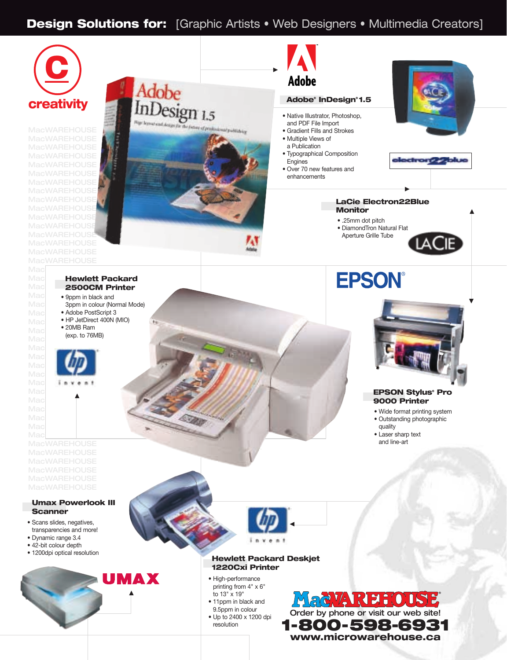## **Design Solutions for:** [Graphic Artists • Web Designers • Multimedia Creators]



**MacWAREHOUSE MacWAREHOUSE MacWAREHOUSE** 

Mac

Mad



#### Adobe **Adobe® InDesign® 1.5** • Native Illustrator, Photoshop, and PDF File Import • Gradient Fills and Strokes • Multiple Views of a Publication • Typographical Composition Engines • Over 70 new features and enhancements





▼

#### **LaCie Electron22Blue Monitor**

▼

- .25mm dot pitch
- DiamondTron Natural Flat
- Aperture Grille Tube

**Mac Hewlett Packard** Mac**Warehouse 2500CM Printer** 

 $\mathbb{Mac}$  • 9ppm in black and Mac 3ppm in colour (Normal Mode)

 $\overline{16}$ 

- Mac Adobe PostScript 3  $Mac$  • HP JetDirect 400N (MIO) • 20MB Ram
- $Mac$   $\bullet$  2010 **B**  $\overline{30}$  $Mac$  (exp. to 76MB)



▼

**MacWAREHOUSE MacWAREHOUSE** 

#### **Umax Powerlook III Scanner**

- Scans slides, negatives, transparencies and more!
- Dynamic range 3.4
- 42-bit colour depth
- 1200dpi optical resolution





#### **Hewlett Packard Deskjet 1220Cxi Printer**

- High-performance printing from 4" x 6" to 13" x 19"
- 11ppm in black and 9.5ppm in colour • Up to 2400 x 1200 dpi
- resolution





#### **EPSON Stylus® Pro 9000 Printer**

- Wide format printing system
- Outstanding photographic
- quality
- Laser sharp text and line-art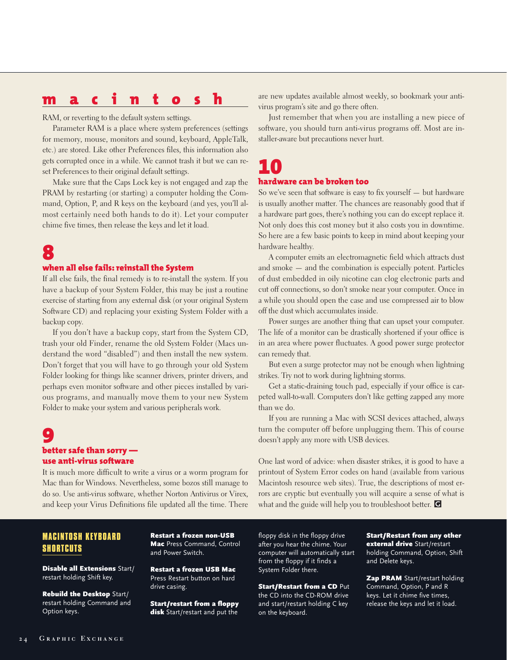RAM, or reverting to the default system settings.

Parameter RAM is a place where system preferences (settings for memory, mouse, monitors and sound, keyboard, AppleTalk, etc.) are stored. Like other Preferences files, this information also gets corrupted once in a while. We cannot trash it but we can reset Preferences to their original default settings.

Make sure that the Caps Lock key is not engaged and zap the PRAM by restarting (or starting) a computer holding the Command, Option, P, and R keys on the keyboard (and yes, you'll almost certainly need both hands to do it). Let your computer chime five times, then release the keys and let it load.

# **8**

#### **when all else fails: reinstall the System**

If all else fails, the final remedy is to re-install the system. If you have a backup of your System Folder, this may be just a routine exercise of starting from any external disk (or your original System Software CD) and replacing your existing System Folder with a backup copy.

If you don't have a backup copy, start from the System CD, trash your old Finder, rename the old System Folder (Macs understand the word "disabled") and then install the new system. Don't forget that you will have to go through your old System Folder looking for things like scanner drivers, printer drivers, and perhaps even monitor software and other pieces installed by various programs, and manually move them to your new System Folder to make your system and various peripherals work.

## **9better safe than sorry use anti-virus software**

It is much more difficult to write a virus or a worm program for Mac than for Windows. Nevertheless, some bozos still manage to do so. Use anti-virus software, whether Norton Antivirus or Virex, and keep your Virus Definitions file updated all the time. There

#### **MACINTOSH KEYBOARD SHORTCUTS**

**Disable all Extensions Start/** restart holding Shift key.

Rebuild the Desktop Start/ restart holding Command and Option keys.

Restart a frozen non-USB Mac Press Command, Control and Power Switch.

Restart a frozen USB Mac Press Restart button on hard drive casing.

Start/restart from a floppy disk Start/restart and put the

are new updates available almost weekly, so bookmark your antivirus program's site and go there often.

Just remember that when you are installing a new piece of software, you should turn anti-virus programs off. Most are installer-aware but precautions never hurt.

# **10**

#### **hardware can be broken too**

So we've seen that software is easy to fix yourself — but hardware is usually another matter. The chances are reasonably good that if a hardware part goes, there's nothing you can do except replace it. Not only does this cost money but it also costs you in downtime. So here are a few basic points to keep in mind about keeping your hardware healthy.

A computer emits an electromagnetic field which attracts dust and smoke — and the combination is especially potent. Particles of dust embedded in oily nicotine can clog electronic parts and cut off connections, so don't smoke near your computer. Once in a while you should open the case and use compressed air to blow off the dust which accumulates inside.

Power surges are another thing that can upset your computer. The life of a monitor can be drastically shortened if your office is in an area where power fluctuates. A good power surge protector can remedy that.

But even a surge protector may not be enough when lightning strikes. Try not to work during lightning storms.

Get a static-draining touch pad, especially if your office is carpeted wall-to-wall. Computers don't like getting zapped any more than we do.

If you are running a Mac with SCSI devices attached, always turn the computer off before unplugging them. This of course doesn't apply any more with USB devices.

One last word of advice: when disaster strikes, it is good to have a printout of System Error codes on hand (available from various Macintosh resource web sites). True, the descriptions of most errors are cryptic but eventually you will acquire a sense of what is what and the guide will help you to troubleshoot better. r**G**

floppy disk in the floppy drive after you hear the chime. Your computer will automatically start from the floppy if it finds a System Folder there.

Start/Restart from a CD Put the CD into the CD-ROM drive and start/restart holding C key on the keyboard.

Start/Restart from any other external drive Start/restart holding Command, Option, Shift and Delete keys.

**Zap PRAM** Start/restart holding Command, Option, P and R keys. Let it chime five times, release the keys and let it load.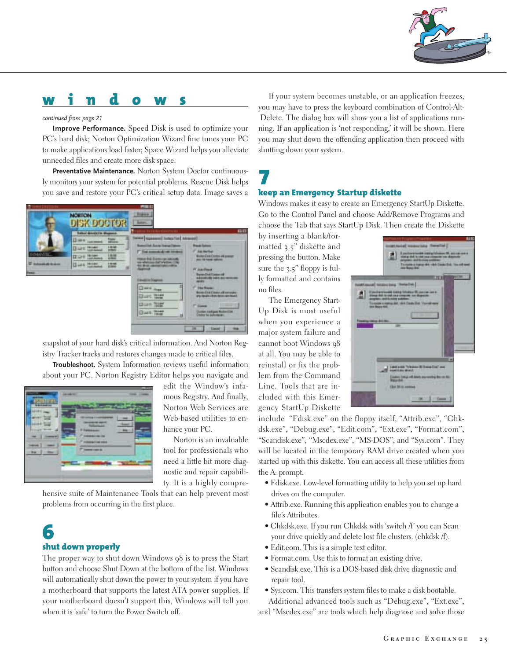# **windows**

#### *continued from page 21*

**Improve Performance.** Speed Disk is used to optimize your PC's hard disk; Norton Optimization Wizard fine tunes your PC to make applications load faster; Space Wizard helps you alleviate unneeded files and create more disk space.

**Preventative Maintenance.** Norton System Doctor continuously monitors your system for potential problems. Rescue Disk helps you save and restore your PC's critical setup data. Image saves a



snapshot of your hard disk's critical information. And Norton Registry Tracker tracks and restores changes made to critical files.

**Troubleshoot.** System Information reviews useful information about your PC. Norton Registry Editor helps you navigate and

|--|--|

edit the Window's infamous Registry. And finally, Norton Web Services are Web-based utilities to enhance your PC.

Norton is an invaluable tool for professionals who need a little bit more diagnostic and repair capability. It is a highly compre-

hensive suite of Maintenance Tools that can help prevent most problems from occurring in the first place.

## **6shut down properly**

The proper way to shut down Windows 98 is to press the Start button and choose Shut Down at the bottom of the list. Windows will automatically shut down the power to your system if you have a motherboard that supports the latest ATA power supplies. If your motherboard doesn't support this, Windows will tell you when it is 'safe' to turn the Power Switch off.

If your system becomes unstable, or an application freezes, you may have to press the keyboard combination of Control-Alt-Delete. The dialog box will show you a list of applications running. If an application is 'not responding,' it will be shown. Here you may shut down the offending application then proceed with shutting down your system.

# **7keep an Emergency Startup diskette**

Windows makes it easy to create an Emergency StartUp Diskette. Go to the Control Panel and choose Add/Remove Programs and choose the Tab that says StartUp Disk. Then create the Diskette

by inserting a blank/formatted 3.5" diskette and pressing the button. Make sure the 3.5" floppy is fully formatted and contains no files.

The Emergency Start-Up Disk is most useful when you experience a major system failure and cannot boot Windows 98 at all. You may be able to reinstall or fix the problem from the Command Line. Tools that are included with this Emergency StartUp Diskette



include "Fdisk.exe" on the floppy itself, "Attrib.exe", "Chkdsk.exe", "Debug.exe", "Edit.com", "Ext.exe", "Format.com", "Scandisk.exe", "Mscdex.exe", "MS-DOS", and "Sys.com". They will be located in the temporary RAM drive created when you started up with this diskette. You can access all these utilities from the A: prompt.

- Fdisk.exe. Low-level formatting utility to help you set up hard drives on the computer.
- Attrib.exe. Running this application enables you to change a file's Attributes.
- Chkdsk.exe. If you run Chkdsk with 'switch /f' you can Scan your drive quickly and delete lost file clusters. (chkdsk /f).
- Edit.com. This is a simple text editor.
- Format.com. Use this to format an existing drive.
- Scandisk.exe. This is a DOS-based disk drive diagnostic and repair tool.
- Sys.com. This transfers system files to make a disk bootable. Additional advanced tools such as "Debug.exe", "Ext.exe",

and "Mscdex.exe" are tools which help diagnose and solve those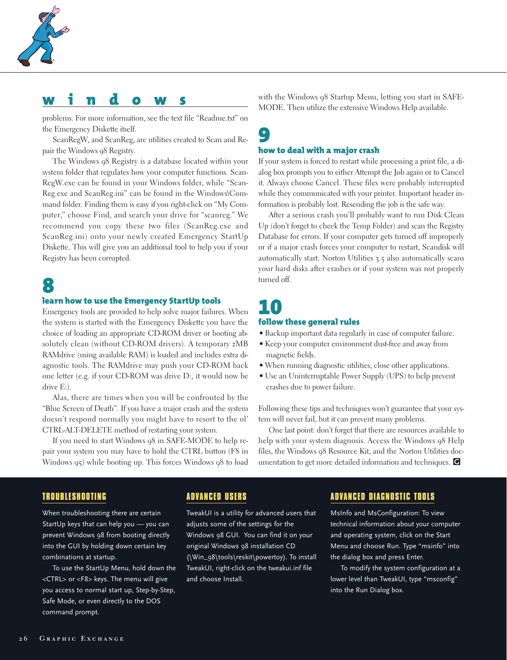

# **windows**

problems. For more information, see the text file "Readme.txt" on the Emergency Diskette itself.

ScanRegW, and ScanReg, are utilities created to Scan and Repair the Windows 98 Registry.

The Windows 98 Registry is a database located within your system folder that regulates how your computer functions. Scan-RegW.exe can be found in your Windows folder, while "Scan-Reg.exe and ScanReg.ini" can be found in the Windows\Command folder. Finding them is easy if you right-click on "My Computer," choose Find, and search your drive for "scanreg." We recommend you copy these two files (ScanReg.exe and ScanReg.ini) onto your newly created Emergency StartUp Diskette. This will give you an additional tool to help you if your Registry has been corrupted.

# **8**

#### **learn how to use the Emergency StartUp tools**

Emergency tools are provided to help solve major failures. When the system is started with the Emergency Diskette you have the choice of loading an appropriate CD-ROM driver or booting absolutely clean (without CD-ROM drivers). A temporary 2MB RAMdrive (using available RAM) is loaded and includes extra diagnostic tools. The RAMdrive may push your CD-ROM back one letter (e.g. if your CD-ROM was drive D:, it would now be drive E:).

Alas, there are times when you will be confronted by the "Blue Screen of Death". If you have a major crash and the system doesn't respond normally you might have to resort to the ol' CTRL-ALT-DELETE method of restarting your system.

If you need to start Windows 98 in SAFE-MODE to help repair your system you may have to hold the CTRL button (F8 in Windows 95) while booting up. This forces Windows 98 to load with the Windows 98 Startup Menu, letting you start in SAFE-MODE. Then utilize the extensive Windows Help available.

#### **9how to deal with a major crash**

If your system is forced to restart while processing a print file, a dialog box prompts you to either Attempt the Job again or to Cancel it. Always choose Cancel. These files were probably interrupted while they communicated with your printer. Important header information is probably lost. Resending the job is the safe way.

After a serious crash you'll probably want to run Disk Clean Up (don't forget to check the Temp Folder) and scan the Registry Database for errors. If your computer gets turned off improperly or if a major crash forces your computer to restart, Scandisk will automatically start. Norton Utilities 3.5 also automatically scans your hard disks after crashes or if your system was not properly turned off.

## **10follow these general rules**

- Backup important data regularly in case of computer failure.
- Keep your computer environment dust-free and away from magnetic fields.
- When running diagnostic utilities, close other applications.
- Use an Uninterruptable Power Supply (UPS) to help prevent crashes due to power failure.

Following these tips and techniques won't guarantee that your system will never fail, but it can prevent many problems.

One last point: don't forget that there are resources available to help with your system diagnosis. Access the Windows 98 Help files, the Windows 98 Resource Kit, and the Norton Utilities documentation to get more detailed information and techniques.  $\blacksquare$ 

#### **TROUBLESHOOTING**

When troubleshooting there are certain StartUp keys that can help you — you can prevent Windows 98 from booting directly into the GUI by holding down certain key combinations at startup.

To use the StartUp Menu, hold down the <CTRL> or <F8> keys. The menu will give you access to normal start up, Step-by-Step, Safe Mode, or even directly to the DOS command prompt.

#### **ADVANCED USERS**

TweakUI is a utility for advanced users that adjusts some of the settings for the Windows 98 GUI. You can find it on your original Windows 98 installation CD (\Win\_98\tools\reskit\powertoy). To install TweakUI, right-click on the tweakui.inf file and choose Install.

#### **ADVANCED DIAGNOSTIC TOOLS**

MsInfo and MsConfiguration: To view technical information about your computer and operating system, click on the Start Menu and choose Run. Type "msinfo" into the dialog box and press Enter.

To modify the system configuration at a lower level than TweakUI, type "msconfig" into the Run Dialog box.